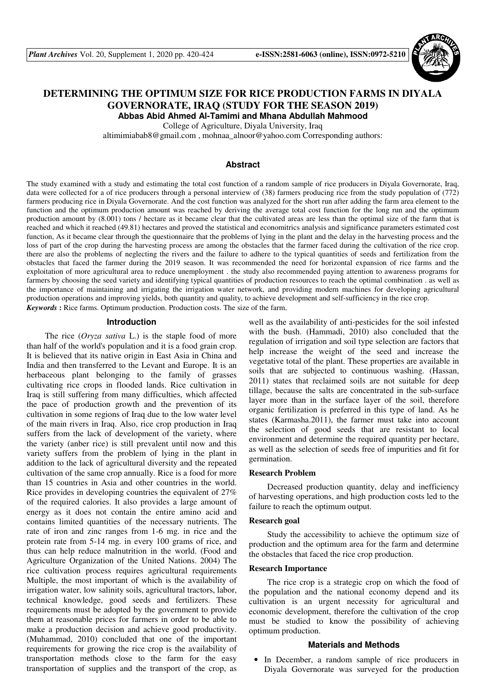

# **DETERMINING THE OPTIMUM SIZE FOR RICE PRODUCTION FARMS IN DIYALA GOVERNORATE, IRAQ (STUDY FOR THE SEASON 2019) Abbas Abid Ahmed Al-Tamimi and Mhana Abdullah Mahmood**

College of Agriculture, Diyala University, Iraq

altimimiabab8@gmail.com , mohnaa\_alnoor@yahoo.com Corresponding authors:

### **Abstract**

The study examined with a study and estimating the total cost function of a random sample of rice producers in Diyala Governorate, Iraq, data were collected for a of rice producers through a personal interview of (38) farmers producing rice from the study population of (772) farmers producing rice in Diyala Governorate. And the cost function was analyzed for the short run after adding the farm area element to the function and the optimum production amount was reached by deriving the average total cost function for the long run and the optimum production amount by (8.001) tons / hectare as it became clear that the cultivated areas are less than the optimal size of the farm that is reached and which it reached (49.81) hectares and proved the statistical and economitrics analysis and significance parameters estimated cost function, As it became clear through the questionnaire that the problems of lying in the plant and the delay in the harvesting process and the loss of part of the crop during the harvesting process are among the obstacles that the farmer faced during the cultivation of the rice crop. there are also the problems of neglecting the rivers and the failure to adhere to the typical quantities of seeds and fertilization from the obstacles that faced the farmer during the 2019 season. It was recommended the need for horizontal expansion of rice farms and the exploitation of more agricultural area to reduce unemployment . the study also recommended paying attention to awareness programs for farmers by choosing the seed variety and identifying typical quantities of production resources to reach the optimal combination . as well as the importance of maintaining and irrigating the irrigation water network, and providing modern machines for developing agricultural production operations and improving yields, both quantity and quality, to achieve development and self-sufficiency in the rice crop. *Keywords* **:** Rice farms. Optimum production. Production costs. The size of the farm.

#### **Introduction**

The rice (*Oryza sativa* L.) is the staple food of more than half of the world's population and it is a food grain crop. It is believed that its native origin in East Asia in China and India and then transferred to the Levant and Europe. It is an herbaceous plant belonging to the family of grasses cultivating rice crops in flooded lands. Rice cultivation in Iraq is still suffering from many difficulties, which affected the pace of production growth and the prevention of its cultivation in some regions of Iraq due to the low water level of the main rivers in Iraq. Also, rice crop production in Iraq suffers from the lack of development of the variety, where the variety (anber rice) is still prevalent until now and this variety suffers from the problem of lying in the plant in addition to the lack of agricultural diversity and the repeated cultivation of the same crop annually. Rice is a food for more than 15 countries in Asia and other countries in the world. Rice provides in developing countries the equivalent of 27% of the required calories. It also provides a large amount of energy as it does not contain the entire amino acid and contains limited quantities of the necessary nutrients. The rate of iron and zinc ranges from 1-6 mg. in rice and the protein rate from 5-14 mg. in every 100 grams of rice, and thus can help reduce malnutrition in the world. (Food and Agriculture Organization of the United Nations. 2004) The rice cultivation process requires agricultural requirements Multiple, the most important of which is the availability of irrigation water, low salinity soils, agricultural tractors, labor, technical knowledge, good seeds and fertilizers. These requirements must be adopted by the government to provide them at reasonable prices for farmers in order to be able to make a production decision and achieve good productivity. (Muhammad, 2010) concluded that one of the important requirements for growing the rice crop is the availability of transportation methods close to the farm for the easy transportation of supplies and the transport of the crop, as

well as the availability of anti-pesticides for the soil infested with the bush. (Hammadi, 2010) also concluded that the regulation of irrigation and soil type selection are factors that help increase the weight of the seed and increase the vegetative total of the plant. These properties are available in soils that are subjected to continuous washing. (Hassan, 2011) states that reclaimed soils are not suitable for deep tillage, because the salts are concentrated in the sub-surface layer more than in the surface layer of the soil, therefore organic fertilization is preferred in this type of land. As he states (Karmasha.2011), the farmer must take into account the selection of good seeds that are resistant to local environment and determine the required quantity per hectare, as well as the selection of seeds free of impurities and fit for germination.

## **Research Problem**

Decreased production quantity, delay and inefficiency of harvesting operations, and high production costs led to the failure to reach the optimum output.

#### **Research goal**

Study the accessibility to achieve the optimum size of production and the optimum area for the farm and determine the obstacles that faced the rice crop production.

#### **Research Importance**

The rice crop is a strategic crop on which the food of the population and the national economy depend and its cultivation is an urgent necessity for agricultural and economic development, therefore the cultivation of the crop must be studied to know the possibility of achieving optimum production.

#### **Materials and Methods**

In December, a random sample of rice producers in Diyala Governorate was surveyed for the production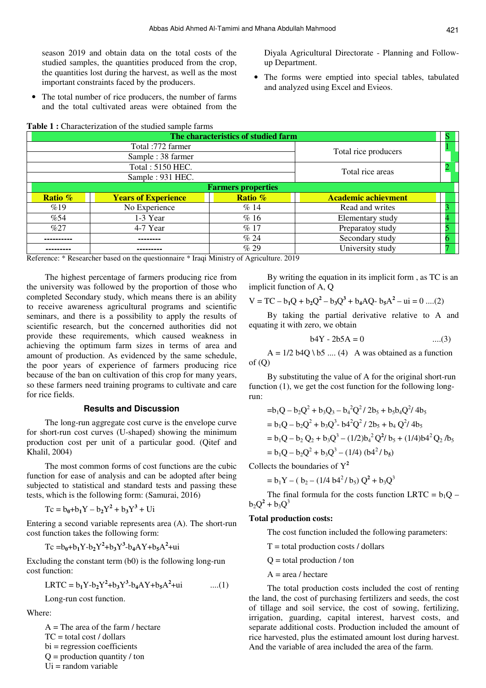season 2019 and obtain data on the total costs of the studied samples, the quantities produced from the crop, the quantities lost during the harvest, as well as the most important constraints faced by the producers.

• The total number of rice producers, the number of farms and the total cultivated areas were obtained from the

**Table 1 :** Characterization of the studied sample farms

Diyala Agricultural Directorate - Planning and Followup Department.

• The forms were emptied into special tables, tabulated and analyzed using Excel and Evieos.

|                           | <b>Table 1:</b> Characterization of the studied sample farms |                      |                            |  |  |  |  |
|---------------------------|--------------------------------------------------------------|----------------------|----------------------------|--|--|--|--|
|                           | The characteristics of studied farm                          |                      |                            |  |  |  |  |
| Total: 772 farmer         |                                                              |                      |                            |  |  |  |  |
|                           | Sample: 38 farmer                                            | Total rice producers |                            |  |  |  |  |
|                           | Total: 5150 HEC.                                             |                      |                            |  |  |  |  |
|                           | Sample: 931 HEC.                                             | Total rice areas     |                            |  |  |  |  |
| <b>Farmers properties</b> |                                                              |                      |                            |  |  |  |  |
| Ratio %                   | <b>Years of Experience</b>                                   | <b>Ratio</b> %       | <b>Academic achievment</b> |  |  |  |  |
| %19                       | No Experience                                                | %14                  | Read and writes            |  |  |  |  |
| %54                       | 1-3 Year                                                     | %16                  | Elementary study           |  |  |  |  |
| %27                       | 4-7 Year                                                     | %17                  | Preparatoy study           |  |  |  |  |
|                           |                                                              | % 24                 | Secondary study            |  |  |  |  |
|                           |                                                              | %29                  | University study           |  |  |  |  |

Reference: \* Researcher based on the questionnaire \* Iraqi Ministry of Agriculture. 2019

The highest percentage of farmers producing rice from the university was followed by the proportion of those who completed Secondary study, which means there is an ability to receive awareness agricultural programs and scientific seminars, and there is a possibility to apply the results of scientific research, but the concerned authorities did not provide these requirements, which caused weakness in achieving the optimum farm sizes in terms of area and amount of production. As evidenced by the same schedule, the poor years of experience of farmers producing rice because of the ban on cultivation of this crop for many years, so these farmers need training programs to cultivate and care for rice fields.

#### **Results and Discussion**

The long-run aggregate cost curve is the envelope curve for short-run cost curves (U-shaped) showing the minimum production cost per unit of a particular good. (Qitef and Khalil, 2004)

The most common forms of cost functions are the cubic function for ease of analysis and can be adopted after being subjected to statistical and standard tests and passing these tests, which is the following form: (Samurai, 2016)

$$
Tc = b_0 + b_1 Y - b_2 Y^2 + b_3 Y^3 + Ui
$$

Entering a second variable represents area (A). The short-run cost function takes the following form:

 $Tc = b_0 + b_1 Y - b_2 Y^2 + b_3 Y^3 - b_4 A Y + b_5 A^2 + u_i$ 

Excluding the constant term (b0) is the following long-run cost function:

$$
LRTC = b_1 Y - b_2 Y^2 + b_3 Y^3 - b_4 A Y + b_5 A^2 + u i
$$
 ....(1)

Long-run cost function.

Where:

 $A =$ The area of the farm / hectare  $TC = total cost / dollars$  $bi = regression coefficients$  $Q =$  production quantity / ton

Ui = random variable

By writing the equation in its implicit form, as 
$$
TC
$$
 is an implicit function of  $A$ ,  $Q$ 

$$
V = TC - b_1Q + b_2Q^2 - b_3Q^3 + b_4AQ - b_5A^2 - ui = 0
$$
 ....(2)

By taking the partial derivative relative to A and equating it with zero, we obtain

$$
b4Y - 2b5A = 0
$$
 ....(3)

 $A = 1/2$  b4Q \ b5 .... (4) A was obtained as a function of (Q)

By substituting the value of A for the original short-run function (1), we get the cost function for the following longrun:

$$
=b_1Q - b_2Q^2 + b_3Q_3 - b_4^2Q^2/2b_5 + b_5b_4Q^2/4b_5
$$
  
= b<sub>1</sub>Q - b<sub>2</sub>Q<sup>2</sup> + b<sub>3</sub>Q<sup>3</sup> - b<sub>4</sub><sup>2</sup>Q<sup>2</sup>/2b<sub>5</sub> + b<sub>4</sub>Q<sup>2</sup>/4b<sub>5</sub>  
= b<sub>1</sub>Q - b<sub>2</sub>Q<sub>2</sub> + b<sub>3</sub>Q<sup>3</sup> - (1/2)b<sub>4</sub><sup>2</sup>Q<sup>2</sup>/b<sub>5</sub> + (1/4)b<sub>4</sub><sup>2</sup>Q<sub>2</sub>/b<sub>5</sub>  
= b<sub>1</sub>Q - b<sub>2</sub>Q<sup>2</sup> + b<sub>3</sub>Q<sup>3</sup> - (1/4) (b<sub>4</sub><sup>2</sup>/b<sub>5</sub>)

Collects the boundaries of Y**<sup>2</sup>**

$$
= b_1 Y - (b_2 - (1/4 b4^2/b_5) Q^2 + b_3 Q^3
$$

The final formula for the costs function LRTC =  $b_1Q$  –  $b_2 Q^2 + b_3 Q^3$ 

#### **Total production costs:**

The cost function included the following parameters:

 $T =$  total production costs / dollars

 $Q =$  total production / ton

 $A = \text{area }$  / hectare

The total production costs included the cost of renting the land, the cost of purchasing fertilizers and seeds, the cost of tillage and soil service, the cost of sowing, fertilizing, irrigation, guarding, capital interest, harvest costs, and separate additional costs. Production included the amount of rice harvested, plus the estimated amount lost during harvest. And the variable of area included the area of the farm.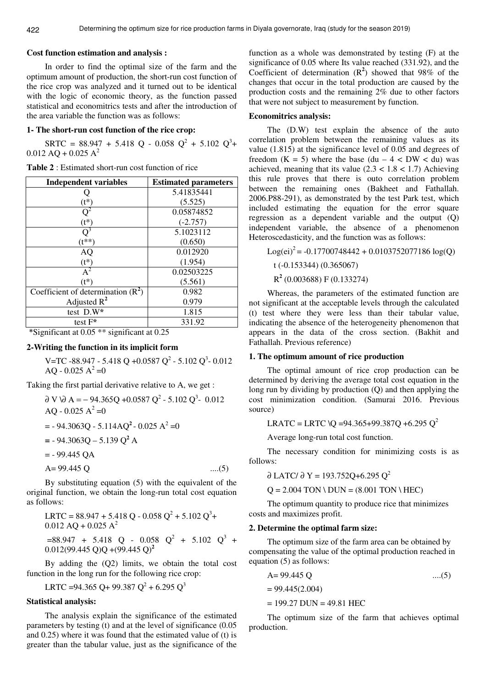### **Cost function estimation and analysis :**

In order to find the optimal size of the farm and the optimum amount of production, the short-run cost function of the rice crop was analyzed and it turned out to be identical with the logic of economic theory, as the function passed statistical and economitrics tests and after the introduction of the area variable the function was as follows:

## **1- The short-run cost function of the rice crop:**

SRTC =  $88.947 + 5.418$  Q -  $0.058$  Q<sup>2</sup> +  $5.102$  Q<sup>3</sup>+  $0.012$  AO + 0.025 A<sup>2</sup>

| <b>Independent variables</b>         | <b>Estimated parameters</b> |  |
|--------------------------------------|-----------------------------|--|
|                                      | 5.41835441                  |  |
| $(t^*)$                              | (5.525)                     |  |
|                                      | 0.05874852                  |  |
| $(t^*)$                              | $(-2.757)$                  |  |
| $\overline{Q}^3$                     | 5.1023112                   |  |
| $(t^{**})$                           | (0.650)                     |  |
| AQ                                   | 0.012920                    |  |
| $(t^*)$                              | (1.954)                     |  |
| $A^2$                                | 0.02503225                  |  |
| $(t^*)$                              | (5.561)                     |  |
| Coefficient of determination $(R^2)$ | 0.982                       |  |
| Adjusted $R^2$                       | 0.979                       |  |
| test D.W*                            | 1.815                       |  |
| test F*                              | 331.92                      |  |

**Table 2** : Estimated short-run cost function of rice

\* Significant at 0.05 \*\* significant at 0.25

## **2-Writing the function in its implicit form**

V=TC -88.947 - 5.418 Q +0.0587 Q<sup>2</sup> - 5.102 Q<sup>3</sup> - 0.012  $AQ - 0.025 A^2 = 0$ 

Taking the first partial derivative relative to A, we get :

$$
\partial V \partial A = -94.365Q + 0.0587 Q^{2} - 5.102 Q^{3} - 0.012
$$
  
\nAQ - 0.025 A<sup>2</sup> =0  
\n= -94.3063Q - 5.114AQ<sup>2</sup> - 0.025 A<sup>2</sup> =0  
\n= -94.3063Q - 5.139 Q<sup>2</sup> A  
\n= -99.445 QA  
\nA= 99.445 Q  
\n....(5)

By substituting equation (5) with the equivalent of the original function, we obtain the long-run total cost equation as follows:

LRTC =  $88.947 + 5.418$  Q -  $0.058$  Q<sup>2</sup> +  $5.102$  Q<sup>3</sup> +  $0.012$  AO + 0.025 A<sup>2</sup>  $=88.947 + 5.418$  Q - 0.058 Q<sup>2</sup> + 5.102 Q<sup>3</sup> + 0.012(99.445 Q)Q +(99.445 Q)**<sup>2</sup>**

By adding the (Q2) limits, we obtain the total cost function in the long run for the following rice crop:

LRTC =94.365 Q+ 99.387 Q<sup>2</sup> + 6.295 Q<sup>3</sup>

### **Statistical analysis:**

The analysis explain the significance of the estimated parameters by testing (t) and at the level of significance (0.05 and 0.25) where it was found that the estimated value of (t) is greater than the tabular value, just as the significance of the function as a whole was demonstrated by testing (F) at the significance of 0.05 where Its value reached (331.92), and the Coefficient of determination  $(R^2)$  showed that 98% of the changes that occur in the total production are caused by the production costs and the remaining 2% due to other factors that were not subject to measurement by function.

## **Economitrics analysis:**

The (D.W) test explain the absence of the auto correlation problem between the remaining values as its value (1.815) at the significance level of 0.05 and degrees of freedom  $(K = 5)$  where the base  $(du - 4 < DW < du)$  was achieved, meaning that its value  $(2.3 < 1.8 < 1.7)$  Achieving this rule proves that there is outo correlation problem between the remaining ones (Bakheet and Fathallah. 2006.P88-291), as demonstrated by the test Park test, which included estimating the equation for the error square regression as a dependent variable and the output (Q) independent variable, the absence of a phenomenon Heteroscedasticity, and the function was as follows:

 $Log(ei)^{2} = -0.17700748442 + 0.0103752077186 log(Q)$  t (-0.153344) (0.365067) R**<sup>2</sup>** (0.003688) F (0.133274)

Whereas, the parameters of the estimated function are not significant at the acceptable levels through the calculated (t) test where they were less than their tabular value, indicating the absence of the heterogeneity phenomenon that appears in the data of the cross section. (Bakhit and Fathallah. Previous reference)

### **1. The optimum amount of rice production**

The optimal amount of rice crop production can be determined by deriving the average total cost equation in the long run by dividing by production (Q) and then applying the cost minimization condition. (Samurai 2016. Previous source)

LRATC = LRTC  $\overline{Q}$  =94.365+99.387Q +6.295  $\overline{Q}^2$ 

Average long-run total cost function.

The necessary condition for minimizing costs is as follows:

 $\partial$  LATC/ $\partial$  Y = 193.752Q+6.295 O<sup>2</sup>

 $Q = 2.004$  TON \ DUN =  $(8.001$  TON \ HEC)

The optimum quantity to produce rice that minimizes costs and maximizes profit.

#### **2. Determine the optimal farm size:**

The optimum size of the farm area can be obtained by compensating the value of the optimal production reached in equation (5) as follows:

$$
A = 99.445 \text{ Q} \qquad \qquad \dots (5)
$$

$$
= 99.445(2.004)
$$

 $= 199.27$  DUN  $= 49.81$  HEC

The optimum size of the farm that achieves optimal production.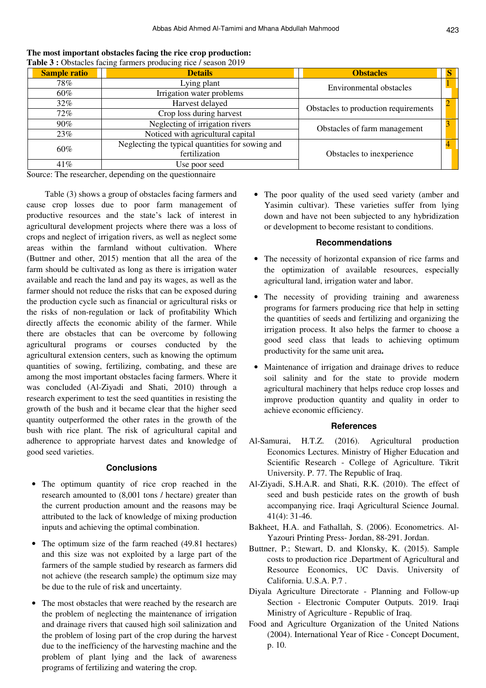| <b>Sample ratio</b><br><b>Details</b>  |                                                  | <b>Obstacles</b>                     |  |
|----------------------------------------|--------------------------------------------------|--------------------------------------|--|
| 78%<br>Lying plant                     |                                                  | Environmental obstacles              |  |
| $60\%$                                 | Irrigation water problems                        |                                      |  |
| 32%                                    | Harvest delayed                                  |                                      |  |
| $72\%$                                 | Crop loss during harvest                         | Obstacles to production requirements |  |
| Neglecting of irrigation rivers<br>90% |                                                  |                                      |  |
| 23%                                    | Noticed with agricultural capital                | Obstacles of farm management         |  |
| 60%                                    | Neglecting the typical quantities for sowing and |                                      |  |
|                                        | fertilization                                    | Obstacles to inexperience            |  |
| 41%<br>Use poor seed                   |                                                  |                                      |  |

|  | The most important obstacles facing the rice crop production: |  |  |  |
|--|---------------------------------------------------------------|--|--|--|
|--|---------------------------------------------------------------|--|--|--|

**Table 3 :** Obstacles facing farmers producing rice / season 2019

Source: The researcher, depending on the questionnaire

Table (3) shows a group of obstacles facing farmers and cause crop losses due to poor farm management of productive resources and the state's lack of interest in agricultural development projects where there was a loss of crops and neglect of irrigation rivers, as well as neglect some areas within the farmland without cultivation. Where (Buttner and other, 2015) mention that all the area of the farm should be cultivated as long as there is irrigation water available and reach the land and pay its wages, as well as the farmer should not reduce the risks that can be exposed during the production cycle such as financial or agricultural risks or the risks of non-regulation or lack of profitability Which directly affects the economic ability of the farmer. While there are obstacles that can be overcome by following agricultural programs or courses conducted by the agricultural extension centers, such as knowing the optimum quantities of sowing, fertilizing, combating, and these are among the most important obstacles facing farmers. Where it was concluded (Al-Ziyadi and Shati, 2010) through a research experiment to test the seed quantities in resisting the growth of the bush and it became clear that the higher seed quantity outperformed the other rates in the growth of the bush with rice plant. The risk of agricultural capital and adherence to appropriate harvest dates and knowledge of good seed varieties.

### **Conclusions**

- The optimum quantity of rice crop reached in the research amounted to (8,001 tons / hectare) greater than the current production amount and the reasons may be attributed to the lack of knowledge of mixing production inputs and achieving the optimal combination.
- The optimum size of the farm reached (49.81 hectares) and this size was not exploited by a large part of the farmers of the sample studied by research as farmers did not achieve (the research sample) the optimum size may be due to the rule of risk and uncertainty.
- The most obstacles that were reached by the research are the problem of neglecting the maintenance of irrigation and drainage rivers that caused high soil salinization and the problem of losing part of the crop during the harvest due to the inefficiency of the harvesting machine and the problem of plant lying and the lack of awareness programs of fertilizing and watering the crop.

• The poor quality of the used seed variety (amber and Yasimin cultivar). These varieties suffer from lying down and have not been subjected to any hybridization or development to become resistant to conditions.

### **Recommendations**

- The necessity of horizontal expansion of rice farms and the optimization of available resources, especially agricultural land, irrigation water and labor.
- The necessity of providing training and awareness programs for farmers producing rice that help in setting the quantities of seeds and fertilizing and organizing the irrigation process. It also helps the farmer to choose a good seed class that leads to achieving optimum productivity for the same unit area.
- Maintenance of irrigation and drainage drives to reduce soil salinity and for the state to provide modern agricultural machinery that helps reduce crop losses and improve production quantity and quality in order to achieve economic efficiency.

## **References**

- Al-Samurai, H.T.Z. (2016). Agricultural production Economics Lectures. Ministry of Higher Education and Scientific Research - College of Agriculture. Tikrit University. P. 77. The Republic of Iraq.
- Al-Ziyadi, S.H.A.R. and Shati, R.K. (2010). The effect of seed and bush pesticide rates on the growth of bush accompanying rice. Iraqi Agricultural Science Journal. 41(4): 31-46.
- Bakheet, H.A. and Fathallah, S. (2006). Econometrics. Al-Yazouri Printing Press- Jordan, 88-291. Jordan.
- Buttner, P.; Stewart, D. and Klonsky, K. (2015). Sample costs to production rice .Department of Agricultural and Resource Economics, UC Davis. University of California. U.S.A. P.7 .
- Diyala Agriculture Directorate Planning and Follow-up Section - Electronic Computer Outputs. 2019. Iraqi Ministry of Agriculture - Republic of Iraq.
- Food and Agriculture Organization of the United Nations (2004). International Year of Rice - Concept Document, p. 10.